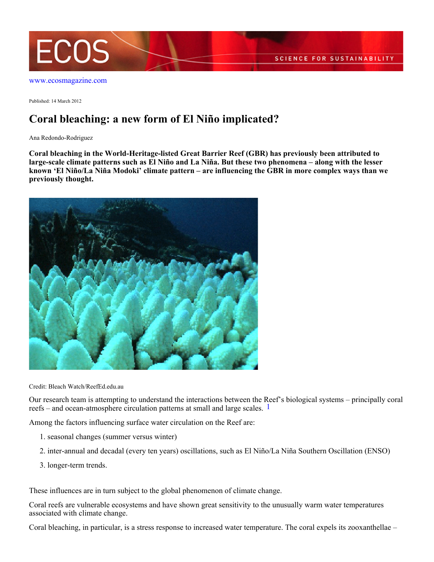

[www.ecosmagazine.com](http://www.ecosmagazine.com)

Published: 14 March 2012

## **Coral bleaching: a new form of El Niño implicated?**

Ana Redondo-Rodriguez

**Coral bleaching in the World-Heritage-listed Great Barrier Reef (GBR) has previously been attributed to large-scale climate patterns such as El Niño and La Niña. But these two phenomena – along with the lesser known 'El Niño/La Niña Modoki' climate pattern – are influencing the GBR in more complex ways than we previously thought.**



Credit: Bleach Watch/ReefEd.edu.au

Our research team is attempting to understand the interactions between the Reef's biological systems – principally coral reefs – and ocean-atmosphere circulation patterns at small and large scales. <sup>1</sup>

Among the factors influencing surface water circulation on the Reef are:

- 1. seasonal changes (summer versus winter)
- 2. inter-annual and decadal (every ten years) oscillations, such as El Niño/La Niña Southern Oscillation (ENSO)
- 3. longer-term trends.

These influences are in turn subject to the global phenomenon of climate change.

Coral reefs are vulnerable ecosystems and have shown great sensitivity to the unusually warm water temperatures associated with climate change.

Coral bleaching, in particular, is a stress response to increased water temperature. The coral expels its zooxanthellae –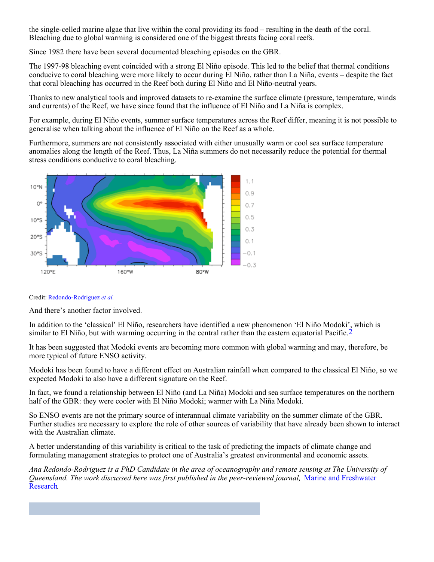the single-celled marine algae that live within the coral providing its food – resulting in the death of the coral. Bleaching due to global warming is considered one of the biggest threats facing coral reefs.

Since 1982 there have been several documented bleaching episodes on the GBR.

The 1997-98 bleaching event coincided with a strong El Niño episode. This led to the belief that thermal conditions conducive to coral bleaching were more likely to occur during El Niño, rather than La Niña, events – despite the fact that coral bleaching has occurred in the Reef both during El Niño and El Niño-neutral years.

Thanks to new analytical tools and improved datasets to re-examine the surface climate (pressure, temperature, winds and currents) of the Reef, we have since found that the influence of El Niño and La Niña is complex.

For example, during El Niño events, summer surface temperatures across the Reef differ, meaning it is not possible to generalise when talking about the influence of El Niño on the Reef as a whole.

Furthermore, summers are not consistently associated with either unusually warm or cool sea surface temperature anomalies along the length of the Reef. Thus, La Niña summers do not necessarily reduce the potential for thermal stress conditions conductive to coral bleaching.



Credit: [Redondo-Rodriguez](http://dx.doi.org/10.1071/MF11151) *[et al.](http://dx.doi.org/10.1071/MF11151)*

And there's another factor involved.

In addition to the 'classical' El Niño, researchers have identified a new phenomenon 'El Niño Modoki', which is similar to El Niño, but with warming occurring in the central rather than the eastern equatorial Pacific.<sup>2</sup>

It has been suggested that Modoki events are becoming more common with global warming and may, therefore, be more typical of future ENSO activity.

Modoki has been found to have a different effect on Australian rainfall when compared to the classical El Niño, so we expected Modoki to also have a different signature on the Reef.

In fact, we found a relationship between El Niño (and La Niña) Modoki and sea surface temperatures on the northern half of the GBR: they were cooler with El Niño Modoki; warmer with La Niña Modoki.

So ENSO events are not the primary source of interannual climate variability on the summer climate of the GBR. Further studies are necessary to explore the role of other sources of variability that have already been shown to interact with the Australian climate.

A better understanding of this variability is critical to the task of predicting the impacts of climate change and formulating management strategies to protect one of Australia's greatest environmental and economic assets.

*Ana Redondo-Rodriguez is a PhD Candidate in the area of oceanography and remote sensing at The University of Queensland. The work discussed here was first published in the peer-reviewed journal,* [Marine and Freshwater](http://dx.doi.org/10.1071/MF11151) [Research](http://dx.doi.org/10.1071/MF11151).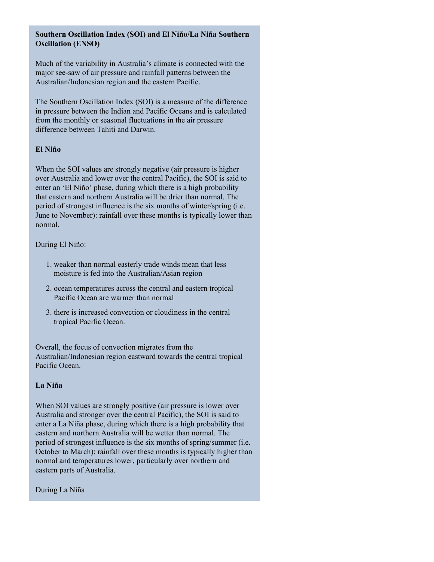## **Southern Oscillation Index (SOI) and El Niño/La Niña Southern Oscillation (ENSO)**

Much of the variability in Australia's climate is connected with the major see-saw of air pressure and rainfall patterns between the Australian/Indonesian region and the eastern Pacific.

The Southern Oscillation Index (SOI) is a measure of the difference in pressure between the Indian and Pacific Oceans and is calculated from the monthly or seasonal fluctuations in the air pressure difference between Tahiti and Darwin.

## **El Niño**

When the SOI values are strongly negative (air pressure is higher over Australia and lower over the central Pacific), the SOI is said to enter an 'El Niño' phase, during which there is a high probability that eastern and northern Australia will be drier than normal. The period of strongest influence is the six months of winter/spring (i.e. June to November): rainfall over these months is typically lower than normal.

During El Niño:

- weaker than normal easterly trade winds mean that less 1. moisture is fed into the Australian/Asian region
- 2. ocean temperatures across the central and eastern tropical Pacific Ocean are warmer than normal
- 3. there is increased convection or cloudiness in the central tropical Pacific Ocean.

Overall, the focus of convection migrates from the Australian/Indonesian region eastward towards the central tropical Pacific Ocean.

## **La Niña**

When SOI values are strongly positive (air pressure is lower over Australia and stronger over the central Pacific), the SOI is said to enter a La Niña phase, during which there is a high probability that eastern and northern Australia will be wetter than normal. The period of strongest influence is the six months of spring/summer (i.e. October to March): rainfall over these months is typically higher than normal and temperatures lower, particularly over northern and eastern parts of Australia.

During La Niña